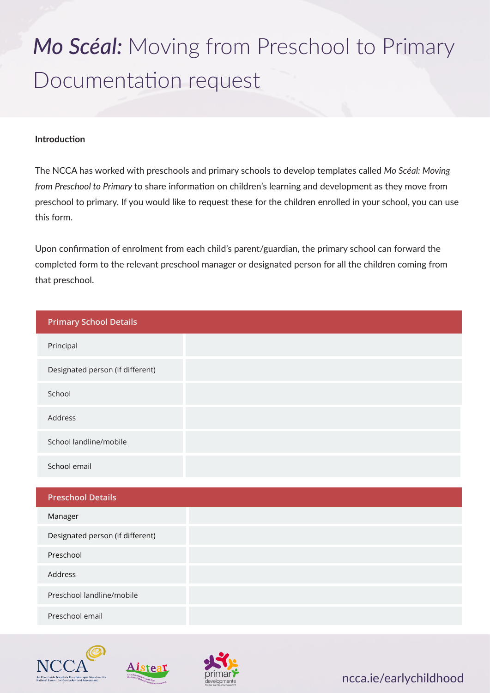# *Mo Scéal:* Moving from Preschool to Primary Documentation request

### **Introduction**

The NCCA has worked with preschools and primary schools to develop templates called *Mo Scéal: Moving from Preschool to Primary* to share information on children's learning and development as they move from preschool to primary. If you would like to request these for the children enrolled in your school, you can use this form.

Upon confirmation of enrolment from each child's parent/guardian, the primary school can forward the completed form to the relevant preschool manager or designated person for all the children coming from that preschool.

| <b>Primary School Details</b>    |
|----------------------------------|
| Principal                        |
| Designated person (if different) |
| School                           |
| Address                          |
| School landline/mobile           |
| School email                     |
| <b>Preschool Details</b>         |
| Manager                          |
| Designated person (if different) |
| Preschool                        |
| Address                          |
| Preschool landline/mobile        |
| Preschool email                  |







ncca.ie/earlychildhood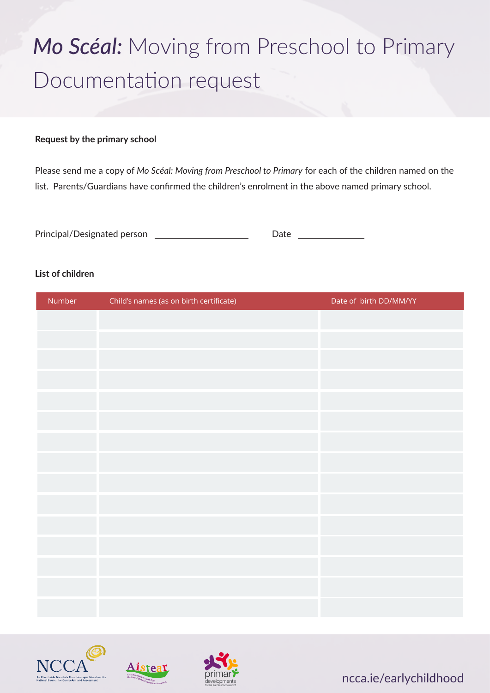# *Mo Scéal:* Moving from Preschool to Primary Documentation request

#### **Request by the primary school**

Please send me a copy of *Mo Scéal: Moving from Preschool to Primary* for each of the children named on the list. Parents/Guardians have confirmed the children's enrolment in the above named primary school.

| Principal/Designated person | Date |  |
|-----------------------------|------|--|
|-----------------------------|------|--|

### **List of children**

| Number | Child's names (as on birth certificate) | Date of birth DD/MM/YY |
|--------|-----------------------------------------|------------------------|
|        |                                         |                        |
|        |                                         |                        |
|        |                                         |                        |
|        |                                         |                        |
|        |                                         |                        |
|        |                                         |                        |
|        |                                         |                        |
|        |                                         |                        |
|        |                                         |                        |
|        |                                         |                        |
|        |                                         |                        |
|        |                                         |                        |
|        |                                         |                        |
|        |                                         |                        |
|        |                                         |                        |







ncca.ie/earlychildhood